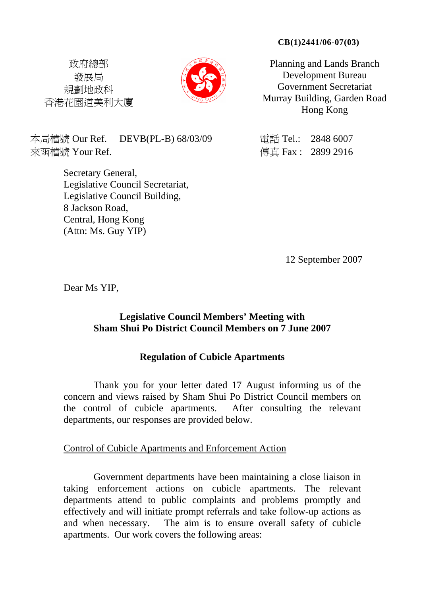#### **CB(1)2441/06-07(03)**

政府總部 發展局 規劃地政科 香港花園道美利大廈



Planning and Lands Branch Development Bureau Government Secretariat Murray Building, Garden Road Hong Kong

本局檔號 Our Ref. DEVB(PL-B) 68/03/09 雷話 Tel.: 2848 6007 來函檔號 Your Ref. 2899 2916

Secretary General, Legislative Council Secretariat, Legislative Council Building, 8 Jackson Road, Central, Hong Kong (Attn: Ms. Guy YIP)

12 September 2007

Dear Ms YIP,

## **Legislative Council Members' Meeting with Sham Shui Po District Council Members on 7 June 2007**

# **Regulation of Cubicle Apartments**

Thank you for your letter dated 17 August informing us of the concern and views raised by Sham Shui Po District Council members on the control of cubicle apartments. After consulting the relevant departments, our responses are provided below.

### Control of Cubicle Apartments and Enforcement Action

Government departments have been maintaining a close liaison in taking enforcement actions on cubicle apartments. The relevant departments attend to public complaints and problems promptly and effectively and will initiate prompt referrals and take follow-up actions as and when necessary. The aim is to ensure overall safety of cubicle apartments. Our work covers the following areas: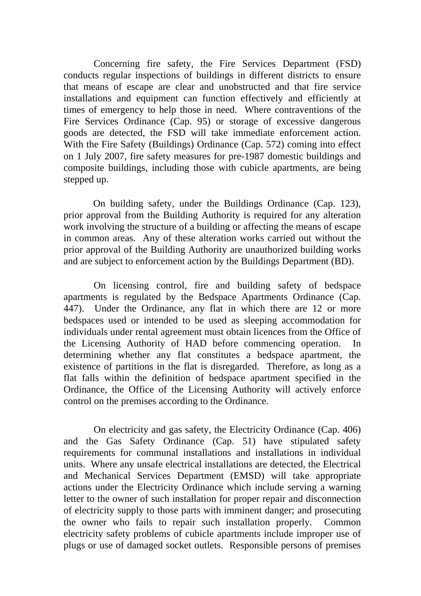Concerning fire safety, the Fire Services Department (FSD) conducts regular inspections of buildings in different districts to ensure that means of escape are clear and unobstructed and that fire service installations and equipment can function effectively and efficiently at times of emergency to help those in need. Where contraventions of the Fire Services Ordinance (Cap. 95) or storage of excessive dangerous goods are detected, the FSD will take immediate enforcement action. With the Fire Safety (Buildings) Ordinance (Cap. 572) coming into effect on 1 July 2007, fire safety measures for pre-1987 domestic buildings and composite buildings, including those with cubicle apartments, are being stepped up.

On building safety, under the Buildings Ordinance (Cap. 123), prior approval from the Building Authority is required for any alteration work involving the structure of a building or affecting the means of escape in common areas. Any of these alteration works carried out without the prior approval of the Building Authority are unauthorized building works and are subject to enforcement action by the Buildings Department (BD).

On licensing control, fire and building safety of bedspace apartments is regulated by the Bedspace Apartments Ordinance (Cap. 447). Under the Ordinance, any flat in which there are 12 or more bedspaces used or intended to be used as sleeping accommodation for individuals under rental agreement must obtain licences from the Office of the Licensing Authority of HAD before commencing operation. In determining whether any flat constitutes a bedspace apartment, the existence of partitions in the flat is disregarded. Therefore, as long as a flat falls within the definition of bedspace apartment specified in the Ordinance, the Office of the Licensing Authority will actively enforce control on the premises according to the Ordinance.

On electricity and gas safety, the Electricity Ordinance (Cap. 406) and the Gas Safety Ordinance (Cap. 51) have stipulated safety requirements for communal installations and installations in individual units. Where any unsafe electrical installations are detected, the Electrical and Mechanical Services Department (EMSD) will take appropriate actions under the Electricity Ordinance which include serving a warning letter to the owner of such installation for proper repair and disconnection of electricity supply to those parts with imminent danger; and prosecuting the owner who fails to repair such installation properly. Common electricity safety problems of cubicle apartments include improper use of plugs or use of damaged socket outlets. Responsible persons of premises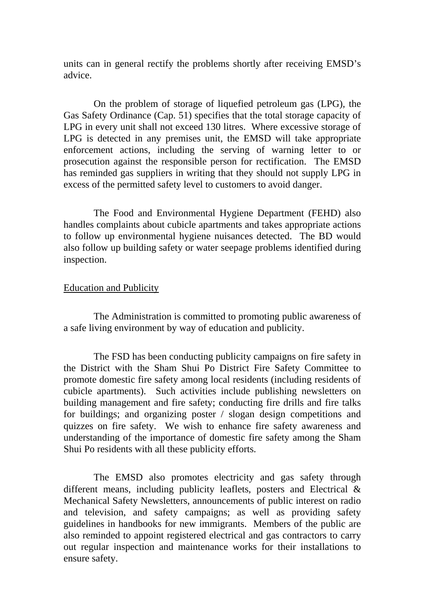units can in general rectify the problems shortly after receiving EMSD's advice.

On the problem of storage of liquefied petroleum gas (LPG), the Gas Safety Ordinance (Cap. 51) specifies that the total storage capacity of LPG in every unit shall not exceed 130 litres. Where excessive storage of LPG is detected in any premises unit, the EMSD will take appropriate enforcement actions, including the serving of warning letter to or prosecution against the responsible person for rectification. The EMSD has reminded gas suppliers in writing that they should not supply LPG in excess of the permitted safety level to customers to avoid danger.

The Food and Environmental Hygiene Department (FEHD) also handles complaints about cubicle apartments and takes appropriate actions to follow up environmental hygiene nuisances detected. The BD would also follow up building safety or water seepage problems identified during inspection.

#### Education and Publicity

The Administration is committed to promoting public awareness of a safe living environment by way of education and publicity.

The FSD has been conducting publicity campaigns on fire safety in the District with the Sham Shui Po District Fire Safety Committee to promote domestic fire safety among local residents (including residents of cubicle apartments). Such activities include publishing newsletters on building management and fire safety; conducting fire drills and fire talks for buildings; and organizing poster / slogan design competitions and quizzes on fire safety. We wish to enhance fire safety awareness and understanding of the importance of domestic fire safety among the Sham Shui Po residents with all these publicity efforts.

The EMSD also promotes electricity and gas safety through different means, including publicity leaflets, posters and Electrical & Mechanical Safety Newsletters, announcements of public interest on radio and television, and safety campaigns; as well as providing safety guidelines in handbooks for new immigrants. Members of the public are also reminded to appoint registered electrical and gas contractors to carry out regular inspection and maintenance works for their installations to ensure safety.